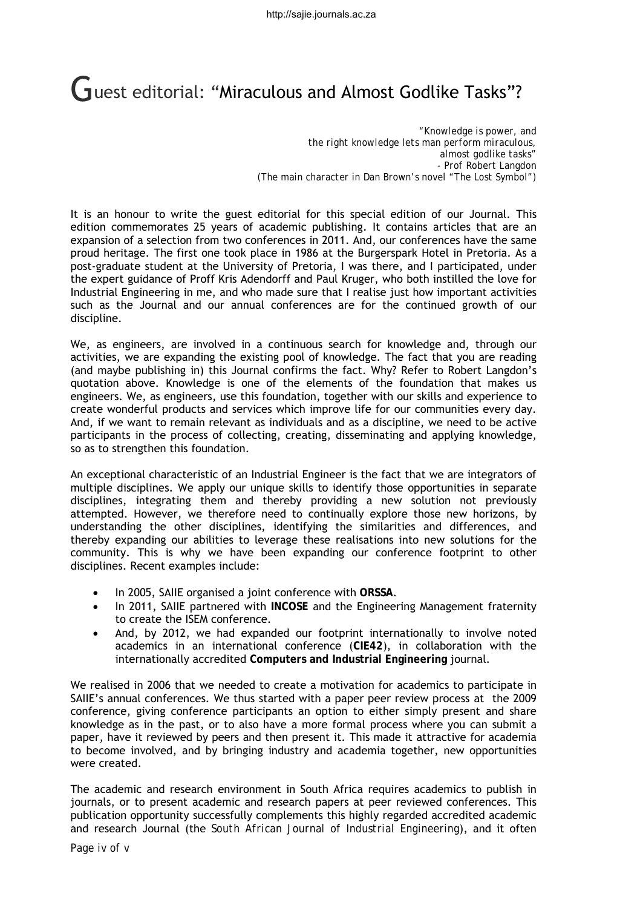## **C**uest editorial: "Miraculous and Almost Godlike Tasks"?

*"Knowledge is power, and the right knowledge lets man perform miraculous, almost godlike tasks" - Prof Robert Langdon (The main character in Dan Brown's novel "The Lost Symbol")*

It is an honour to write the guest editorial for this special edition of our Journal. This edition commemorates 25 years of academic publishing. It contains articles that are an expansion of a selection from two conferences in 2011. And, our conferences have the same proud heritage. The first one took place in 1986 at the Burgerspark Hotel in Pretoria. As a post-graduate student at the University of Pretoria, I was there, and I participated, under the expert guidance of Proff Kris Adendorff and Paul Kruger, who both instilled the love for Industrial Engineering in me, and who made sure that I realise just how important activities such as the Journal and our annual conferences are for the continued growth of our discipline.

We, as engineers, are involved in a continuous search for knowledge and, through our activities, we are expanding the existing pool of knowledge. The fact that you are reading (and maybe publishing in) this Journal confirms the fact. Why? Refer to Robert Langdon's quotation above. Knowledge is one of the elements of the foundation that makes us engineers. We, as engineers, use this foundation, together with our skills and experience to create wonderful products and services which improve life for our communities every day. And, if we want to remain relevant as individuals and as a discipline, we need to be active participants in the process of collecting, creating, disseminating and applying knowledge, so as to strengthen this foundation.

An exceptional characteristic of an Industrial Engineer is the fact that we are integrators of multiple disciplines. We apply our unique skills to identify those opportunities in separate disciplines, integrating them and thereby providing a new solution not previously attempted. However, we therefore need to continually explore those new horizons, by understanding the other disciplines, identifying the similarities and differences, and thereby expanding our abilities to leverage these realisations into new solutions for the community. This is why we have been expanding our conference footprint to other disciplines. Recent examples include:

- In 2005, SAIIE organised a joint conference with **ORSSA**.
- In 2011, SAIIE partnered with **INCOSE** and the Engineering Management fraternity to create the ISEM conference.
- And, by 2012, we had expanded our footprint internationally to involve noted academics in an international conference (**CIE42**), in collaboration with the internationally accredited **Computers and Industrial Engineering** journal.

We realised in 2006 that we needed to create a motivation for academics to participate in SAIIE's annual conferences. We thus started with a paper peer review process at the 2009 conference, giving conference participants an option to either simply present and share knowledge as in the past, or to also have a more formal process where you can submit a paper, have it reviewed by peers and then present it. This made it attractive for academia to become involved, and by bringing industry and academia together, new opportunities were created.

The academic and research environment in South Africa requires academics to publish in journals, or to present academic and research papers at peer reviewed conferences. This publication opportunity successfully complements this highly regarded accredited academic and research Journal (the *South African Journal of Industrial Engineering*), and it often